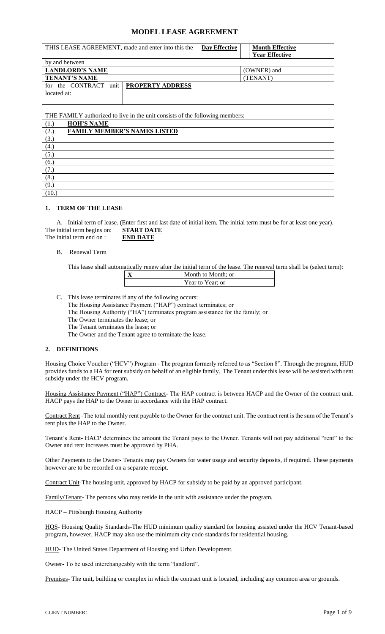# **MODEL LEASE AGREEMENT**

| THIS LEASE AGREEMENT, made and enter into this the      |  | Day Effective | <b>Month Effective</b><br><b>Year Effective</b> |
|---------------------------------------------------------|--|---------------|-------------------------------------------------|
| by and between                                          |  |               |                                                 |
| <b>LANDLORD'S NAME</b>                                  |  |               | (OWNER) and                                     |
| <b>TENANT'S NAME</b>                                    |  |               | (TENANT)                                        |
| for the CONTRACT unit   PROPERTY ADDRESS<br>located at: |  |               |                                                 |
|                                                         |  |               |                                                 |

THE FAMILY authorized to live in the unit consists of the following members:

| (1.)  | <b>HOH'S NAME</b>                   |
|-------|-------------------------------------|
| (2.)  | <b>FAMILY MEMBER'S NAMES LISTED</b> |
| (3.)  |                                     |
| (4.)  |                                     |
| (5.)  |                                     |
| (6.,  |                                     |
| 7.    |                                     |
| (8.)  |                                     |
| (9,   |                                     |
| (10.) |                                     |

## **1. TERM OF THE LEASE**

A. Initial term of lease. (Enter first and last date of initial item. The initial term must be for at least one year). The initial term begins on: **START DATE** The initial term end on : **END DATE** 

#### B. Renewal Term

This lease shall automatically renew after the initial term of the lease. The renewal term shall be (select term):

| Month to Month; or |
|--------------------|
| Year to Year; or   |
|                    |

C. This lease terminates if any of the following occurs: The Housing Assistance Payment ("HAP") contract terminates; or The Housing Authority ("HA") terminates program assistance for the family; or The Owner terminates the lease; or The Tenant terminates the lease; or

The Owner and the Tenant agree to terminate the lease.

# **2. DEFINITIONS**

Housing Choice Voucher ("HCV") Program - The program formerly referred to as "Section 8". Through the program, HUD provides funds to a HA for rent subsidy on behalf of an eligible family. The Tenant under this lease will be assisted with rent subsidy under the HCV program.

Housing Assistance Payment ("HAP") Contract**-** The HAP contract is between HACP and the Owner of the contract unit. HACP pays the HAP to the Owner in accordance with the HAP contract.

Contract Rent -The total monthly rent payable to the Owner for the contract unit. The contract rent is the sum of the Tenant's rent plus the HAP to the Owner.

Tenant's Rent- HACP determines the amount the Tenant pays to the Owner. Tenants will not pay additional "rent" to the Owner and rent increases must be approved by PHA.

Other Payments to the Owner- Tenants may pay Owners for water usage and security deposits, if required. These payments however are to be recorded on a separate receipt.

Contract Unit-The housing unit, approved by HACP for subsidy to be paid by an approved participant.

Family**/**Tenant- The persons who may reside in the unit with assistance under the program.

HACP – Pittsburgh Housing Authority

HOS- Housing Quality Standards-The HUD minimum quality standard for housing assisted under the HCV Tenant-based program**,** however, HACP may also use the minimum city code standards for residential housing.

HUD- The United States Department of Housing and Urban Development.

Owner- To be used interchangeably with the term "landlord".

Premises- The unit, building or complex in which the contract unit is located, including any common area or grounds.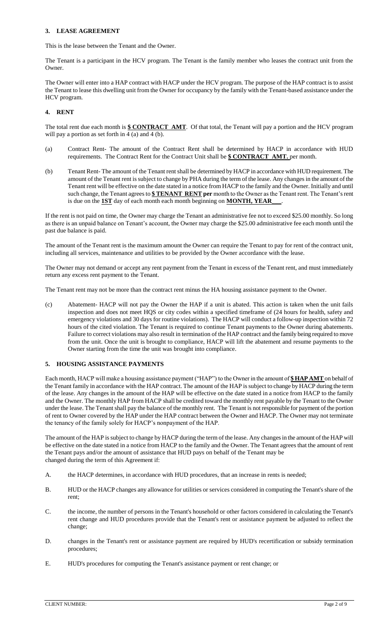## **3. LEASE AGREEMENT**

This is the lease between the Tenant and the Owner.

The Tenant is a participant in the HCV program. The Tenant is the family member who leases the contract unit from the Owner.

The Owner will enter into a HAP contract with HACP under the HCV program. The purpose of the HAP contract is to assist the Tenant to lease this dwelling unit from the Owner for occupancy by the family with the Tenant-based assistance under the HCV program.

# **4. RENT**

The total rent due each month is **\$ CONTRACT AMT**. Of that total, the Tenant will pay a portion and the HCV program will pay a portion as set forth in 4 (a) and 4 (b).

- (a) Contract Rent- The amount of the Contract Rent shall be determined by HACP in accordance with HUD requirements. The Contract Rent for the Contract Unit shall be **\$ CONTRACT AMT.** per month.
- (b) Tenant Rent- The amount of the Tenant rent shall be determined by HACP in accordance with HUD requirement. The amount of the Tenant rent is subject to change by PHA during the term of the lease. Any changes in the amount of the Tenant rent will be effective on the date stated in a notice from HACP to the family and the Owner. Initially and until such change, the Tenant agrees to **\$ TENANT RENT per** month to the Owner as the Tenant rent. The Tenant's rent is due on the **1ST** day of each month each month beginning on **MONTH, YEAR\_\_\_**.

If the rent is not paid on time, the Owner may charge the Tenant an administrative fee not to exceed \$25.00 monthly. So long as there is an unpaid balance on Tenant's account, the Owner may charge the \$25.00 administrative fee each month until the past due balance is paid.

The amount of the Tenant rent is the maximum amount the Owner can require the Tenant to pay for rent of the contract unit, including all services, maintenance and utilities to be provided by the Owner accordance with the lease.

The Owner may not demand or accept any rent payment from the Tenant in excess of the Tenant rent, and must immediately return any excess rent payment to the Tenant.

The Tenant rent may not be more than the contract rent minus the HA housing assistance payment to the Owner.

(c) Abatement- HACP will not pay the Owner the HAP if a unit is abated. This action is taken when the unit fails inspection and does not meet HQS or city codes within a specified timeframe of (24 hours for health, safety and emergency violations and 30 days for routine violations). The HACP will conduct a follow-up inspection within 72 hours of the cited violation. The Tenant is required to continue Tenant payments to the Owner during abatements. Failure to correct violations may also result in termination of the HAP contract and the family being required to move from the unit. Once the unit is brought to compliance, HACP will lift the abatement and resume payments to the Owner starting from the time the unit was brought into compliance.

# **5. HOUSING ASSISTANCE PAYMENTS**

Each month, HACP will make a housing assistance payment ("HAP") to the Owner in the amount of **\$ HAP AMT** on behalf of the Tenant family in accordance with the HAP contract. The amount of the HAP is subject to change by HACP during the term of the lease. Any changes in the amount of the HAP will be effective on the date stated in a notice from HACP to the family and the Owner. The monthly HAP from HACP shall be credited toward the monthly rent payable by the Tenant to the Owner under the lease. The Tenant shall pay the balance of the monthly rent. The Tenant is not responsible for payment of the portion of rent to Owner covered by the HAP under the HAP contract between the Owner and HACP. The Owner may not terminate the tenancy of the family solely for HACP's nonpayment of the HAP.

The amount of the HAP is subject to change by HACP during the term of the lease. Any changes in the amount of the HAP will be effective on the date stated in a notice from HACP to the family and the Owner. The Tenant agrees that the amount of rent the Tenant pays and/or the amount of assistance that HUD pays on behalf of the Tenant may be changed during the term of this Agreement if:

- A. the HACP determines, in accordance with HUD procedures, that an increase in rents is needed;
- B. HUD or the HACP changes any allowance for utilities or services considered in computing the Tenant's share of the rent;
- C. the income, the number of persons in the Tenant's household or other factors considered in calculating the Tenant's rent change and HUD procedures provide that the Tenant's rent or assistance payment be adjusted to reflect the change;
- D. changes in the Tenant's rent or assistance payment are required by HUD's recertification or subsidy termination procedures;
- E. HUD's procedures for computing the Tenant's assistance payment or rent change; or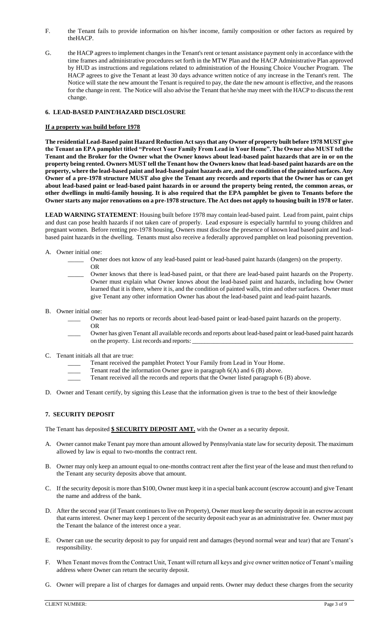- F. the Tenant fails to provide information on his/her income, family composition or other factors as required by theHACP.
- G. the HACP agrees to implement changes in the Tenant's rent or tenant assistance payment only in accordance with the time frames and administrative procedures set forth in the MTW Plan and the HACP Administrative Plan approved by HUD as instructions and regulations related to administration of the Housing Choice Voucher Program. The HACP agrees to give the Tenant at least 30 days advance written notice of any increase in the Tenant's rent. The Notice will state the new amount the Tenant is required to pay, the date the new amount is effective, and the reasons for the change in rent. The Notice will also advise the Tenant that he/she may meet with the HACP to discuss the rent change.

# **6. LEAD-BASED PAINT/HAZARD DISCLOSURE**

### **If a property was build before 1978**

**The residential Lead-Based paint Hazard Reduction Act says that any Owner of property built before 1978 MUST give the Tenant an EPA pamphlet titled "Protect Your Family From Lead in Your Home". The Owner also MUST tell the Tenant and the Broker for the Owner what the Owner knows about lead-based paint hazards that are in or on the property being rented. Owners MUST tell the Tenant how the Owners know that lead-based paint hazards are on the property, where the lead-based paint and lead-based paint hazards are, and the condition of the painted surfaces. Any Owner of a pre-1978 structure MUST also give the Tenant any records and reports that the Owner has or can get about lead-based paint or lead-based paint hazards in or around the property being rented, the common areas, or other dwellings in multi-family housing. It is also required that the EPA pamphlet be given to Tenants before the Owner starts any major renovations on a pre-1978 structure. The Act does not apply to housing built in 1978 or later.**

**LEAD WARNING STATEMENT**: Housing built before 1978 may contain lead-based paint. Lead from paint, paint chips and dust can pose health hazards if not taken care of properly. Lead exposure is especially harmful to young children and pregnant women. Before renting pre-1978 housing, Owners must disclose the presence of known lead based paint and leadbased paint hazards in the dwelling. Tenants must also receive a federally approved pamphlet on lead poisoning prevention.

- A. Owner initial one:
	- \_\_\_\_\_ Owner does not know of any lead-based paint or lead-based paint hazards (dangers) on the property. OR
		- Owner knows that there is lead-based paint, or that there are lead-based paint hazards on the Property. Owner must explain what Owner knows about the lead-based paint and hazards, including how Owner learned that it is there, where it is, and the condition of painted walls, trim and other surfaces. Owner must give Tenant any other information Owner has about the lead-based paint and lead-paint hazards.
- B. Owner initial one:
	- Owner has no reports or records about lead-based paint or lead-based paint hazards on the property. OR
	- \_\_\_\_ Owner has given Tenant all available records and reports about lead-based paint or lead-based paint hazards on the property. List records and reports:
- C. Tenant initials all that are true:
	- Tenant received the pamphlet Protect Your Family from Lead in Your Home.
	- Tenant read the information Owner gave in paragraph  $6(A)$  and  $6(B)$  above.
	- Tenant received all the records and reports that the Owner listed paragraph 6 (B) above.
- D. Owner and Tenant certify, by signing this Lease that the information given is true to the best of their knowledge

# **7. SECURITY DEPOSIT**

The Tenant has deposited **\$ SECURITY DEPOSIT AMT.** with the Owner as a security deposit.

- A. Owner cannot make Tenant pay more than amount allowed by Pennsylvania state law for security deposit. The maximum allowed by law is equal to two-months the contract rent.
- B. Owner may only keep an amount equal to one-months contract rent after the first year of the lease and must then refund to the Tenant any security deposits above that amount.
- C. If the security deposit is more than \$100, Owner must keep it in a special bank account (escrow account) and give Tenant the name and address of the bank.
- D. After the second year (if Tenant continues to live on Property), Owner must keep the security deposit in an escrow account that earnsinterest. Owner may keep 1 percent of the security deposit each year as an administrative fee. Owner must pay the Tenant the balance of the interest once a year.
- E. Owner can use the security deposit to pay for unpaid rent and damages (beyond normal wear and tear) that are Tenant's responsibility.
- F. When Tenant moves from the Contract Unit, Tenant will return all keys and give owner written notice of Tenant's mailing address where Owner can return the security deposit.
- G. Owner will prepare a list of charges for damages and unpaid rents. Owner may deduct these charges from the security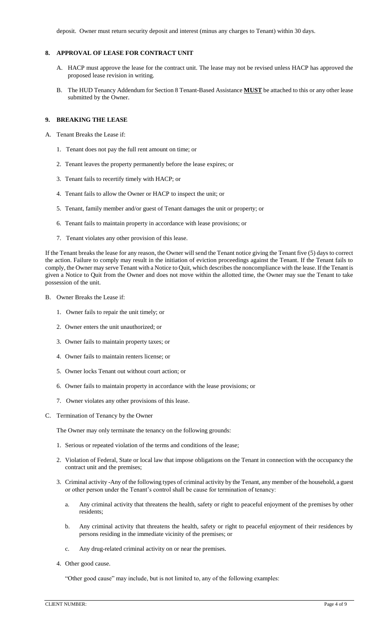deposit. Owner must return security deposit and interest (minus any charges to Tenant) within 30 days.

### **8. APPROVAL OF LEASE FOR CONTRACT UNIT**

- A. HACP must approve the lease for the contract unit. The lease may not be revised unless HACP has approved the proposed lease revision in writing.
- B. The HUD Tenancy Addendum for Section 8 Tenant-Based Assistance **MUST** be attached to this or any other lease submitted by the Owner.

# **9. BREAKING THE LEASE**

- A. Tenant Breaks the Lease if:
	- 1. Tenant does not pay the full rent amount on time; or
	- 2. Tenant leaves the property permanently before the lease expires; or
	- 3. Tenant fails to recertify timely with HACP; or
	- 4. Tenant fails to allow the Owner or HACP to inspect the unit; or
	- 5. Tenant, family member and/or guest of Tenant damages the unit or property; or
	- 6. Tenant fails to maintain property in accordance with lease provisions; or
	- 7. Tenant violates any other provision of this lease.

If the Tenant breaks the lease for any reason, the Owner will send the Tenant notice giving the Tenant five (5) days to correct the action. Failure to comply may result in the initiation of eviction proceedings against the Tenant. If the Tenant fails to comply, the Owner may serve Tenant with a Notice to Quit, which describes the noncompliance with the lease. If the Tenant is given a Notice to Quit from the Owner and does not move within the allotted time, the Owner may sue the Tenant to take possession of the unit.

- B. Owner Breaks the Lease if:
	- 1. Owner fails to repair the unit timely; or
	- 2. Owner enters the unit unauthorized; or
	- 3. Owner fails to maintain property taxes; or
	- 4. Owner fails to maintain renters license; or
	- 5. Owner locks Tenant out without court action; or
	- 6. Owner fails to maintain property in accordance with the lease provisions; or
	- 7. Owner violates any other provisions of this lease.
- C. Termination of Tenancy by the Owner

The Owner may only terminate the tenancy on the following grounds:

- 1. Serious or repeated violation of the terms and conditions of the lease;
- 2. Violation of Federal, State or local law that impose obligations on the Tenant in connection with the occupancy the contract unit and the premises;
- 3. Criminal activity -Any of the following types of criminal activity by the Tenant, any member of the household, a guest or other person under the Tenant's control shall be cause for termination of tenancy:
	- a. Any criminal activity that threatens the health, safety or right to peaceful enjoyment of the premises by other residents;
	- b. Any criminal activity that threatens the health, safety or right to peaceful enjoyment of their residences by persons residing in the immediate vicinity of the premises; or
	- c. Any drug-related criminal activity on or near the premises.
- 4. Other good cause.

"Other good cause" may include, but is not limited to, any of the following examples: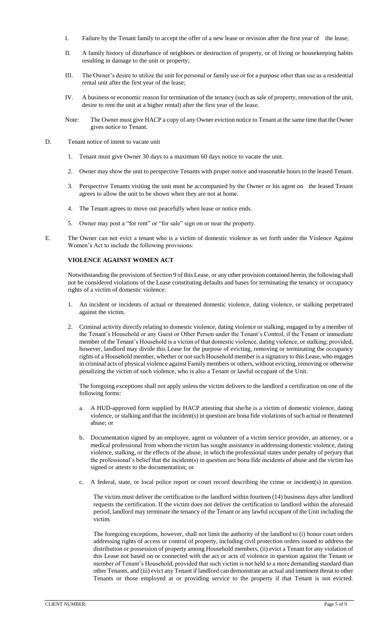- I. Failure by the Tenant family to accept the offer of a new lease or revision after the first year of the lease;
- II. A family history of disturbance of neighbors or destruction of property, or of living or housekeeping habits resulting in damage to the unit or property;
- III. The Owner's desire to utilize the unit for personal or family use or for a purpose other than use as a residential rental unit after the first year of the lease;
- IV. A business or economic reason for termination of the tenancy (such as sale of property, renovation of the unit, desire to rent the unit at a higher rental) after the first year of the lease.
- Note: The Owner must give HACP a copy of any Owner eviction notice to Tenant at the same time that the Owner gives notice to Tenant.
- D. Tenant notice of intent to vacate unit
	- 1. Tenant must give Owner 30 days to a maximum 60 days notice to vacate the unit.
	- 2. Owner may show the unit to perspective Tenants with proper notice and reasonable hours to the leased Tenant.
	- 3. Perspective Tenants visiting the unit must be accompanied by the Owner or his agent on the leased Tenant agrees to allow the unit to be shown when they are not at home.
	- 4. The Tenant agrees to move out peacefully when lease or notice ends.
	- 5. Owner may post a "for rent" or "for sale" sign on or near the property.
- E. The Owner can not evict a tenant who is a victim of domestic violence as set forth under the Violence Against Women's Act to include the following provisions:

## **VIOLENCE AGAINST WOMEN ACT**

Notwithstanding the provisions of Section 9 of this Lease, or any other provision contained herein, the following shall not be considered violations of the Lease constituting defaults and bases for terminating the tenancy or occupancy rights of a victim of domestic violence:

- 1. An incident or incidents of actual or threatened domestic violence, dating violence, or stalking perpetrated against the victim.
- 2. Criminal activity directly relating to domestic violence, dating violence or stalking, engaged in by a member of the Tenant's Household or any Guest or Other Person under the Tenant's Control, if the Tenant or immediate member of the Tenant's Household is a victim of that domestic violence, dating violence, or stalking; provided, however, landlord may divide this Lease for the purpose of evicting, removing or terminating the occupancy rights of a Household member, whether or not such Household member is a signatory to this Lease, who engages in criminal acts of physical violence against Family members or others, without evicting, removing or otherwise penalizing the victim of such violence, who is also a Tenant or lawful occupant of the Unit.

The foregoing exceptions shall not apply unless the victim delivers to the landlord a certification on one of the following forms:

- a. A HUD-approved form supplied by HACP attesting that she/he is a victim of domestic violence, dating violence, or stalking and that the incident(s) in question are bona fide violations of such actual or threatened abuse; or
- b. Documentation signed by an employee, agent or volunteer of a victim service provider, an attorney, or a medical professional from whom the victim has sought assistance in addressing domestic violence, dating violence, stalking, or the effects of the abuse, in which the professional states under penalty of perjury that the professional's belief that the incident(s) in question are bona fide incidents of abuse and the victim has signed or attests to the documentation; or
- c. A federal, state, or local police report or court record describing the crime or incident(s) in question.

The victim must deliver the certification to the landlord within fourteen (14) business days after landlord requests the certification. If the victim does not deliver the certification to landlord within the aforesaid period, landlord may terminate the tenancy of the Tenant or any lawful occupant of the Unit including the victim.

The foregoing exceptions, however, shall not limit the authority of the landlord to (i) honor court orders addressing rights of access or control of property, including civil protection orders issued to address the distribution or possession of property among Household members, (ii) evict a Tenant for any violation of this Lease not based on or connected with the act or acts of violence in question against the Tenant or member of Tenant's Household, provided that such victim is not held to a more demanding standard than other Tenants, and (iii) evict any Tenant if landlord can demonstrate an actual and imminent threat to other Tenants or those employed at or providing service to the property if that Tenant is not evicted.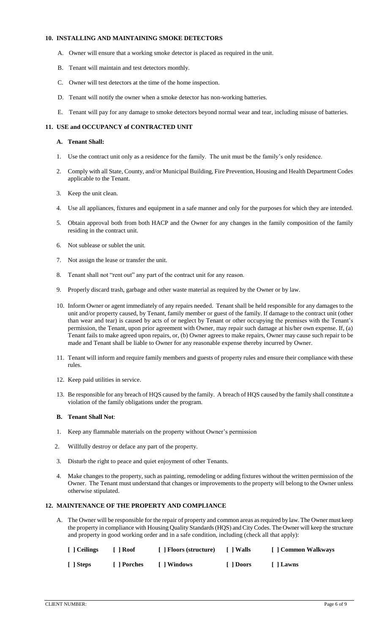### **10. INSTALLING AND MAINTAINING SMOKE DETECTORS**

- A. Owner will ensure that a working smoke detector is placed as required in the unit.
- B. Tenant will maintain and test detectors monthly.
- C. Owner will test detectors at the time of the home inspection.
- D. Tenant will notify the owner when a smoke detector has non-working batteries.
- E. Tenant will pay for any damage to smoke detectors beyond normal wear and tear, including misuse of batteries.

# **11. USE and OCCUPANCY of CONTRACTED UNIT**

### **A. Tenant Shall:**

- 1. Use the contract unit only as a residence for the family. The unit must be the family's only residence.
- 2. Comply with all State, County, and/or Municipal Building, Fire Prevention, Housing and Health Department Codes applicable to the Tenant.
- 3. Keep the unit clean.
- 4. Use all appliances, fixtures and equipment in a safe manner and only for the purposes for which they are intended.
- 5. Obtain approval both from both HACP and the Owner for any changes in the family composition of the family residing in the contract unit.
- 6. Not sublease or sublet the unit.
- 7. Not assign the lease or transfer the unit.
- 8. Tenant shall not "rent out" any part of the contract unit for any reason.
- 9. Properly discard trash, garbage and other waste material as required by the Owner or by law.
- 10. Inform Owner or agent immediately of any repairs needed. Tenant shall be held responsible for any damages to the unit and/or property caused, by Tenant, family member or guest of the family. If damage to the contract unit (other than wear and tear) is caused by acts of or neglect by Tenant or other occupying the premises with the Tenant's permission, the Tenant, upon prior agreement with Owner, may repair such damage at his/her own expense. If, (a) Tenant fails to make agreed upon repairs, or, (b) Owner agrees to make repairs, Owner may cause such repair to be made and Tenant shall be liable to Owner for any reasonable expense thereby incurred by Owner.
- 11. Tenant will inform and require family members and guests of property rules and ensure their compliance with these rules.
- 12. Keep paid utilities in service.
- 13. Be responsible for any breach of HQS caused by the family. A breach of HQS caused by the family shall constitute a violation of the family obligations under the program.

# **B. Tenant Shall Not**:

- 1. Keep any flammable materials on the property without Owner's permission
- 2. Willfully destroy or deface any part of the property.
- 3. Disturb the right to peace and quiet enjoyment of other Tenants.
- 4. Make changes to the property, such as painting, remodeling or adding fixtures without the written permission of the Owner. The Tenant must understand that changes or improvements to the property will belong to the Owner unless otherwise stipulated.

# **12. MAINTENANCE OF THE PROPERTY AND COMPLIANCE**

A. The Owner will be responsible for the repair of property and common areas as required by law. The Owner must keep the property in compliance with Housing Quality Standards (HQS) and City Codes. The Owner will keep the structure and property in good working order and in a safe condition, including (check all that apply):

| [ ] Ceilings | <b>Roof</b> | [ ] Floors (structure) | I Walls   | [ ] Common Walkways |
|--------------|-------------|------------------------|-----------|---------------------|
| [ ] Steps    | [ ] Porches | [ ] Windows            | [ 1 Doors | [ ] Lawns           |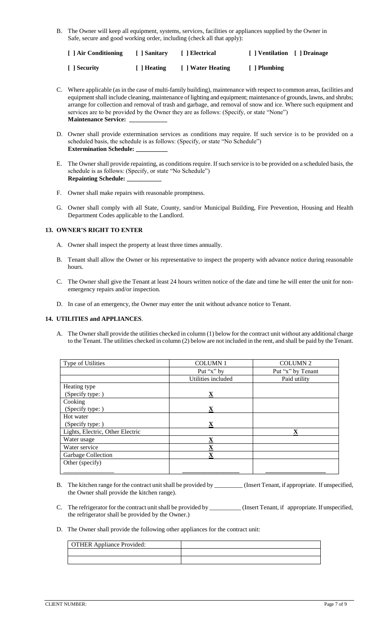B. The Owner will keep all equipment, systems, services, facilities or appliances supplied by the Owner in Safe, secure and good working order, including (check all that apply):

| [ ] Air Conditioning | [ Sanitary  | [ ] Electrical    | [   Ventilation [ ] Drainage |  |
|----------------------|-------------|-------------------|------------------------------|--|
| [ ] Security         | [ ] Heating | [ ] Water Heating | [ ] Plumbing                 |  |

- C. Where applicable (as in the case of multi-family building), maintenance with respect to common areas, facilities and equipment shall include cleaning, maintenance of lighting and equipment; maintenance of grounds, lawns, and shrubs; arrange for collection and removal of trash and garbage, and removal of snow and ice. Where such equipment and services are to be provided by the Owner they are as follows: (Specify, or state "None") **Maintenance Service:**
- D. Owner shall provide extermination services as conditions may require. If such service is to be provided on a scheduled basis, the schedule is as follows: (Specify, or state "No Schedule") **Extermination Schedule:**
- E. The Owner shall provide repainting, as conditions require. If such service is to be provided on a scheduled basis, the schedule is as follows: (Specify, or state "No Schedule") **Repainting Schedule: \_\_\_\_\_\_\_\_\_\_\_**
- F. Owner shall make repairs with reasonable promptness.
- G. Owner shall comply with all State, County, sand/or Municipal Building, Fire Prevention, Housing and Health Department Codes applicable to the Landlord.

# **13. OWNER'S RIGHT TO ENTER**

- A. Owner shall inspect the property at least three times annually.
- B. Tenant shall allow the Owner or his representative to inspect the property with advance notice during reasonable hours.
- C. The Owner shall give the Tenant at least 24 hours written notice of the date and time he will enter the unit for nonemergency repairs and/or inspection.
- D. In case of an emergency, the Owner may enter the unit without advance notice to Tenant.

# **14. UTILITIES and APPLIANCES**.

A. The Owner shall provide the utilities checked in column (1) below for the contract unit without any additional charge to the Tenant. The utilities checked in column (2) below are not included in the rent, and shall be paid by the Tenant.

| Type of Utilities                | <b>COLUMN1</b>     | <b>COLUMN 2</b>   |
|----------------------------------|--------------------|-------------------|
|                                  | Put "x" by         | Put "x" by Tenant |
|                                  | Utilities included | Paid utility      |
| Heating type                     |                    |                   |
| (Specify type: )                 | X                  |                   |
| Cooking                          |                    |                   |
| (Specify type: )                 | X                  |                   |
| Hot water                        |                    |                   |
| (Specify type: )                 | X                  |                   |
| Lights, Electric, Other Electric |                    | X                 |
| Water usage                      | X                  |                   |
| Water service                    | X                  |                   |
| Garbage Collection               | x                  |                   |
| Other (specify)                  |                    |                   |
|                                  |                    |                   |

- B. The kitchen range for the contract unit shall be provided by \_\_\_\_\_\_\_\_\_ (Insert Tenant, if appropriate. If unspecified, the Owner shall provide the kitchen range).
- C. The refrigerator for the contract unit shall be provided by \_\_\_\_\_\_\_\_\_\_ (Insert Tenant, if appropriate. If unspecified, the refrigerator shall be provided by the Owner.)

### D. The Owner shall provide the following other appliances for the contract unit:

| <b>OTHER Appliance Provided:</b> |  |
|----------------------------------|--|
|                                  |  |
|                                  |  |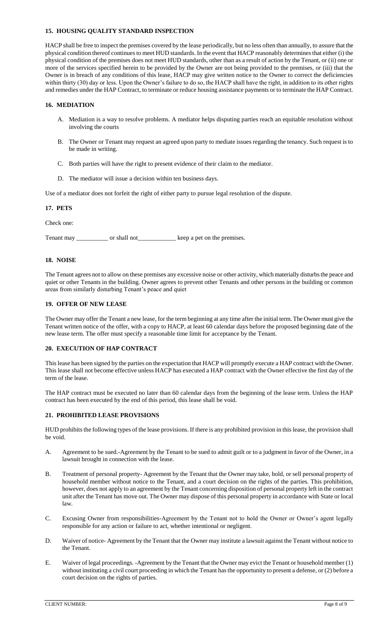### **15. HOUSING QUALITY STANDARD INSPECTION**

HACP shall be free to inspect the premises covered by the lease periodically, but no less often than annually, to assure that the physical condition thereof continues to meet HUD standards. In the event that HACP reasonably determines that either (i) the physical condition of the premises does not meet HUD standards, other than as a result of action by the Tenant, or (ii) one or more of the services specified herein to be provided by the Owner are not being provided to the premises, or (iii) that the Owner is in breach of any conditions of this lease, HACP may give written notice to the Owner to correct the deficiencies within thirty (30) day or less. Upon the Owner's failure to do so, the HACP shall have the right, in addition to its other rights and remedies under the HAP Contract, to terminate or reduce housing assistance payments or to terminate the HAP Contract.

# **16. MEDIATION**

- A. Mediation is a way to resolve problems. A mediator helps disputing parties reach an equitable resolution without involving the courts
- B. The Owner or Tenant may request an agreed upon party to mediate issues regarding the tenancy. Such request is to be made in writing.
- C. Both parties will have the right to present evidence of their claim to the mediator.
- D. The mediator will issue a decision within ten business days.

Use of a mediator does not forfeit the right of either party to pursue legal resolution of the dispute.

## **17. PETS**

Check one:

Tenant may \_\_\_\_\_\_\_\_\_\_\_\_ or shall not \_\_\_\_\_\_\_\_\_\_\_\_\_ keep a pet on the premises.

### **18. NOISE**

The Tenant agrees not to allow on these premises any excessive noise or other activity, which materially disturbs the peace and quiet or other Tenants in the building. Owner agrees to prevent other Tenants and other persons in the building or common areas from similarly disturbing Tenant's peace and quiet

# **19. OFFER OF NEW LEASE**

The Owner may offer the Tenant a new lease, for the term beginning at any time after the initial term. The Owner must give the Tenant written notice of the offer, with a copy to HACP, at least 60 calendar days before the proposed beginning date of the new lease term. The offer must specify a reasonable time limit for acceptance by the Tenant.

### **20. EXECUTION OF HAP CONTRACT**

This lease has been signed by the parties on the expectation that HACP will promptly execute a HAP contract with the Owner. This lease shall not become effective unless HACP has executed a HAP contract with the Owner effective the first day of the term of the lease.

The HAP contract must be executed no later than 60 calendar days from the beginning of the lease term. Unless the HAP contract has been executed by the end of this period, this lease shall be void.

## **21. PROHIBITED LEASE PROVISIONS**

HUD prohibits the following types of the lease provisions. If there is any prohibited provision in this lease, the provision shall be void.

- A. Agreement to be sued.-Agreement by the Tenant to be sued to admit guilt or to a judgment in favor of the Owner, in a lawsuit brought in connection with the lease.
- B. Treatment of personal property- Agreement by the Tenant that the Owner may take, hold, or sell personal property of household member without notice to the Tenant, and a court decision on the rights of the parties. This prohibition, however, does not apply to an agreement by the Tenant concerning disposition of personal property left in the contract unit after the Tenant has move out. The Owner may dispose of this personal property in accordance with State or local law.
- C. Excusing Owner from responsibilities-Agreement by the Tenant not to hold the Owner or Owner's agent legally responsible for any action or failure to act, whether intentional or negligent.
- D. Waiver of notice- Agreement by the Tenant that the Owner may institute a lawsuit against the Tenant without notice to the Tenant.
- E. Waiver of legal proceedings. -Agreement by the Tenant that the Owner may evict the Tenant or household member (1) without instituting a civil court proceeding in which the Tenant has the opportunity to present a defense, or (2) before a court decision on the rights of parties.